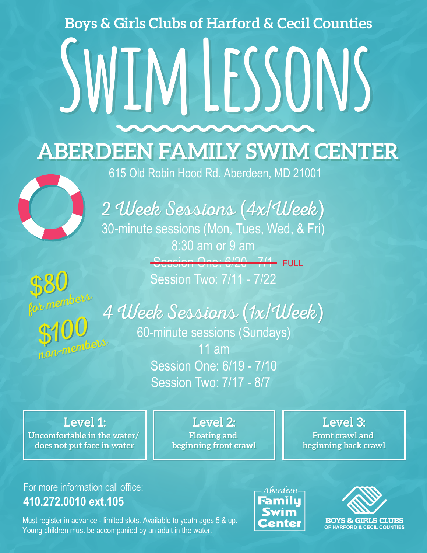## **Boys & Girls Clubs of Harford & Cecil Counties**

## **SWIM LESSONS**

**ABERDEEN FAMILY SWIM CENTER** 



615 Old Robin Hood Rd. Aberdeen, MD 21001

2 Week Sessions (4x/Week) 30-minute sessions (Mon, Tues, Wed, & Fri) 8:30 am or 9 am Session One: 6/20 7/4 FULL Session Two: 7/11 - 7/22

*\$* for members *\$* non-members 80 100

4 Week Sessions (1x/Week)

60-minute sessions (Sundays) 11 am Session One: 6/19 - 7/10 Session Two: 7/17 - 8/7

**Level 1: Uncomfortable in the water/ Uncomfortable in the water/ does not put face in water does not put face in water**

**Level 2: Floating and Floating and beginning front crawl beginning front crawl**

**Level 3: Front crawl and Front crawl and beginning back crawl beginning back crawl**

## For more information call office: **410.272.0010 ext.105**

Must register in advance - limited slots. Available to youth ages 5 & up. Young children must be accompanied by an adult in the water.